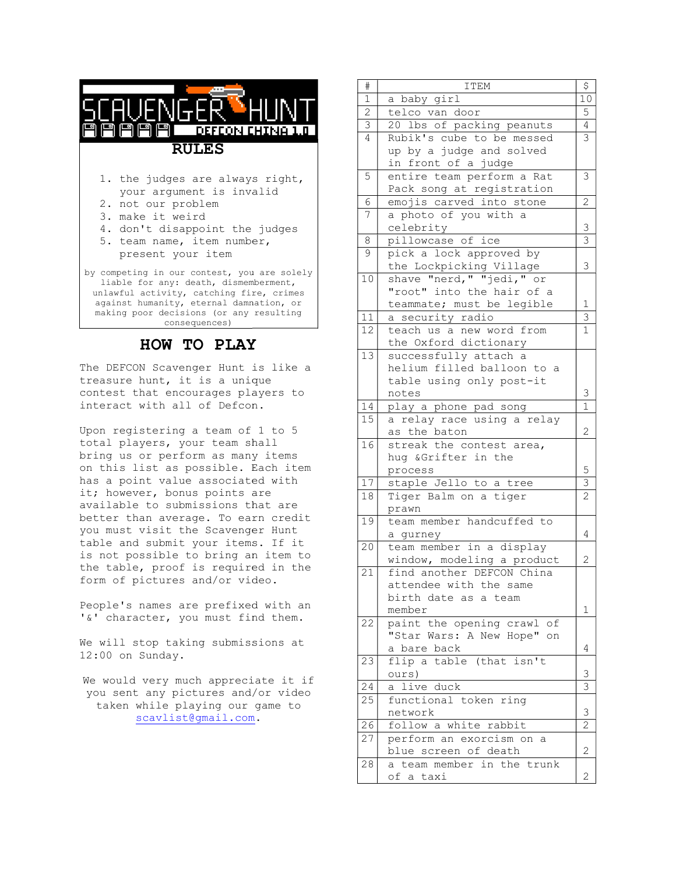| $P P P P$ DEFCON CHINA 1.0<br><b>RULES</b>                                                                                                                                                                                              |  |  |  |
|-----------------------------------------------------------------------------------------------------------------------------------------------------------------------------------------------------------------------------------------|--|--|--|
| 1. the judges are always right,<br>your argument is invalid<br>2. not our problem<br>3. make it weird<br>4. don't disappoint the judges<br>5. team name, item number,<br>present your item                                              |  |  |  |
| by competing in our contest, you are solely<br>liable for any: death, dismemberment,<br>unlawful activity, catching fire, crimes<br>against humanity, eternal damnation, or<br>making poor decisions (or any resulting<br>consequences) |  |  |  |
| <b>HOW TO PLAY</b>                                                                                                                                                                                                                      |  |  |  |

The DEFCON Scavenger Hunt is like a treasure hunt, it is a unique contest that encourages players to interact with all of Defcon Defcon.

Upon registering a team of 1 to 5 total players, your team shall bring us or perform as many items on this list as possible. Each item has a point value associated with it; however, bonus points are available to submissions that are better than average. To earn credit you must visit the Scavenger Hunt table and submit your items. If it is not possible to bring an item to the table, proof is required in the form of pictures and/or video.

People's names are prefixed with an '&' character, you must find them.

We will stop taking submissions at 12:00 on Sunday.

We would very much appreciate it if you sent any pictures and/or video taken while playing our game to scavlist@gmail.com scavlist@gmail.com.

|                                                    | $\#$              | ITEM                                                   | \$                      |
|----------------------------------------------------|-------------------|--------------------------------------------------------|-------------------------|
|                                                    | $1\,$             | a baby girl                                            | 10                      |
|                                                    | $\mathbf{2}$      | telco van door                                         | 5                       |
| <u>DEFCON CHINA 1.0</u>                            | 3                 | 20 lbs of packing peanuts                              | 4                       |
|                                                    | 4                 | Rubik's cube to be messed                              | 3                       |
| <b>ULES</b>                                        |                   | up by a judge and solved                               |                         |
|                                                    |                   | in front of a judge                                    |                         |
| s are always right,                                | 5                 | entire team perform a Rat                              | 3                       |
| ment is invalid                                    |                   | Pack song at registration                              |                         |
| roblem                                             | 6                 | emojis carved into stone                               | 2                       |
| eird                                               | 7                 | a photo of you with a                                  |                         |
| appoint the judges                                 |                   | celebrity                                              | 3                       |
| , item number,                                     | 8                 | pillowcase of ice                                      | $\overline{\mathbf{3}}$ |
| our item                                           | 9                 | pick a lock approved by                                |                         |
| r contest, you are solely                          |                   | the Lockpicking Village                                | 3                       |
| death, dismemberment,                              | 10                | shave "nerd, " "jedi, " or                             |                         |
| , catching fire, crimes                            |                   | "root" into the hair of a                              |                         |
| , eternal damnation, or<br>sions (or any resulting |                   | teammate; must be legible                              | 1                       |
| sequences)                                         | 11                | a security radio                                       | 3                       |
|                                                    | $12 \overline{ }$ | teach us a new word from                               | $\mathbf{1}$            |
| <b>TO PLAY</b>                                     |                   | the Oxford dictionary                                  |                         |
|                                                    | 13                | successfully attach a                                  |                         |
| enger Hunt is like a                               |                   | helium filled balloon to a                             |                         |
| it is a unique                                     |                   | table using only post-it                               |                         |
| courages players to                                |                   | notes                                                  | 3                       |
| ll of Defcon.                                      | 14                | play a phone pad song                                  | $\mathbf{1}$            |
|                                                    | 15                | a relay race using a relay                             |                         |
| g a team of 1 to 5                                 |                   | as the baton                                           | $\overline{2}$          |
| your team shall<br>form as many items              | 16                | streak the contest area,                               |                         |
| possible. Each item                                |                   | hug & Grifter in the                                   |                         |
| ue associated with                                 |                   | process                                                | 5                       |
| nus points are                                     | 17                | staple Jello to a tree                                 | $\mathsf 3$             |
| bmissions that are                                 | 18                | Tiger Balm on a tiger                                  | $\overline{2}$          |
| rage. To earn credit                               |                   | prawn<br>team member handcuffed to                     |                         |
| the Scavenger Hunt                                 | 19                |                                                        |                         |
| t your items. If it                                |                   | a qurney                                               | 4                       |
| to bring an item to                                | 20                | team member in a display<br>window, modeling a product | $\mathbf{2}$            |
| f is required in the                               | 21                | find another DEFCON China                              |                         |
| s and/or video.                                    |                   | attendee with the same                                 |                         |
|                                                    |                   | birth date as a team                                   |                         |
| are prefixed with an                               |                   | member                                                 | $\mathbf{1}$            |
| you must find them.                                | 22                | paint the opening crawl of                             |                         |
|                                                    |                   | "Star Wars: A New Hope" on                             |                         |
| king submissions at                                |                   | a bare back                                            | 4                       |
|                                                    | 23                | flip a table (that isn't                               |                         |
|                                                    |                   | ours)                                                  | 3                       |
| uch appreciate it if                               | 24                | a live duck                                            | 3                       |
| ictures and/or video                               | 25                | functional token ring                                  |                         |
| laying our game to                                 |                   | network                                                | 3                       |
| t@gmail.com.                                       | 26                | follow a white rabbit                                  | $\overline{c}$          |
|                                                    | 27                | perform an exorcism on a                               |                         |
|                                                    |                   | blue screen of death                                   | $\mathbf{2}$            |
|                                                    | 28                | a team member in the trunk                             |                         |
|                                                    |                   | of a taxi                                              | $\mathbf{2}$            |